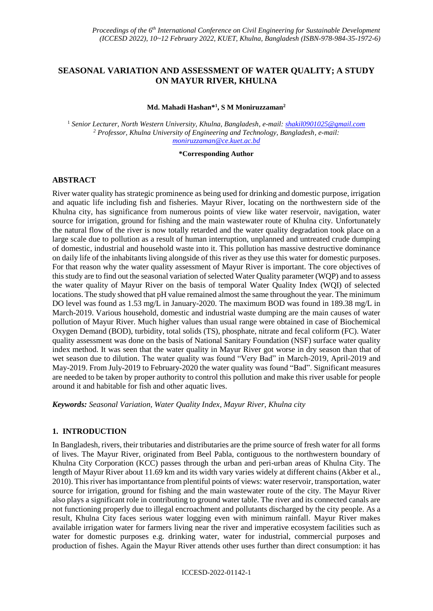# **SEASONAL VARIATION AND ASSESSMENT OF WATER QUALITY; A STUDY ON MAYUR RIVER, KHULNA**

#### **Md. Mahadi Hashan\*<sup>1</sup> , S M Moniruzzaman<sup>2</sup>**

<sup>1</sup> *Senior Lecturer, North Western University, Khulna, Bangladesh, e-mail: shakil0901025@gmail.com <sup>2</sup> Professor, Khulna University of Engineering and Technology, Bangladesh, e-mail: [moniruzzaman@ce.kuet.ac.bd](mailto:moniruzzaman@ce.kuet.ac.bd)*

#### **\*Corresponding Author**

### **ABSTRACT**

River water quality has strategic prominence as being used for drinking and domestic purpose, irrigation and aquatic life including fish and fisheries. Mayur River, locating on the northwestern side of the Khulna city, has significance from numerous points of view like water reservoir, navigation, water source for irrigation, ground for fishing and the main wastewater route of Khulna city. Unfortunately the natural flow of the river is now totally retarded and the water quality degradation took place on a large scale due to pollution as a result of human interruption, unplanned and untreated crude dumping of domestic, industrial and household waste into it. This pollution has massive destructive dominance on daily life of the inhabitants living alongside of this river as they use this water for domestic purposes. For that reason why the water quality assessment of Mayur River is important. The core objectives of this study are to find out the seasonal variation of selected Water Quality parameter (WQP) and to assess the water quality of Mayur River on the basis of temporal Water Quality Index (WQI) of selected locations. The study showed that pH value remained almost the same throughout the year. The minimum DO level was found as 1.53 mg/L in January-2020. The maximum BOD was found in 189.38 mg/L in March-2019. Various household, domestic and industrial waste dumping are the main causes of water pollution of Mayur River. Much higher values than usual range were obtained in case of Biochemical Oxygen Demand (BOD), turbidity, total solids (TS), phosphate, nitrate and fecal coliform (FC). Water quality assessment was done on the basis of National Sanitary Foundation (NSF) surface water quality index method. It was seen that the water quality in Mayur River got worse in dry season than that of wet season due to dilution. The water quality was found "Very Bad" in March-2019, April-2019 and May-2019. From July-2019 to February-2020 the water quality was found "Bad". Significant measures are needed to be taken by proper authority to control this pollution and make this river usable for people around it and habitable for fish and other aquatic lives.

*Keywords: Seasonal Variation, Water Quality Index, Mayur River, Khulna city*

### **1. INTRODUCTION**

In Bangladesh, rivers, their tributaries and distributaries are the prime source of fresh water for all forms of lives. The Mayur River, originated from Beel Pabla, contiguous to the northwestern boundary of Khulna City Corporation (KCC) passes through the urban and peri-urban areas of Khulna City. The length of Mayur River about 11.69 km and its width vary varies widely at different chains (Akber et al., 2010). This river has importantance from plentiful points of views: water reservoir, transportation, water source for irrigation, ground for fishing and the main wastewater route of the city. The Mayur River also plays a significant role in contributing to ground water table. The river and its connected canals are not functioning properly due to illegal encroachment and pollutants discharged by the city people. As a result, Khulna City faces serious water logging even with minimum rainfall. Mayur River makes available irrigation water for farmers living near the river and imperative ecosystem facilities such as water for domestic purposes e.g. drinking water, water for industrial, commercial purposes and production of fishes. Again the Mayur River attends other uses further than direct consumption: it has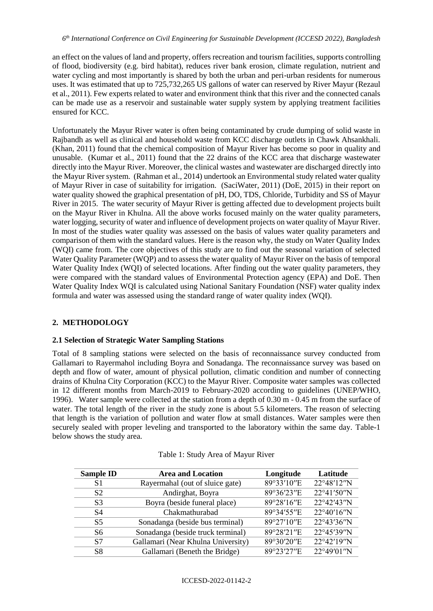an effect on the values of land and property, offers recreation and tourism facilities, supports controlling of flood, biodiversity (e.g. bird habitat), reduces river bank erosion, climate regulation, nutrient and water cycling and most importantly is shared by both the urban and peri-urban residents for numerous uses. It was estimated that up to 725,732,265 US gallons of water can reserved by River Mayur (Rezaul et al., 2011). Few experts related to water and environment think that this river and the connected canals can be made use as a reservoir and sustainable water supply system by applying treatment facilities ensured for KCC.

Unfortunately the Mayur River water is often being contaminated by crude dumping of solid waste in Rajbandh as well as clinical and household waste from KCC discharge outlets in Chawk Ahsankhali. (Khan, 2011) found that the chemical composition of Mayur River has become so poor in quality and unusable. (Kumar et al., 2011) found that the 22 drains of the KCC area that discharge wastewater directly into the Mayur River. Moreover, the clinical wastes and wastewater are discharged directly into the Mayur River system. (Rahman et al., 2014) undertook an Environmental study related water quality of Mayur River in case of suitability for irrigation. (SaciWater, 2011) (DoE, 2015) in their report on water quality showed the graphical presentation of pH, DO, TDS, Chloride, Turbidity and SS of Mayur River in 2015. The water security of Mayur River is getting affected due to development projects built on the Mayur River in Khulna. All the above works focused mainly on the water quality parameters, water logging, security of water and influence of development projects on water quality of Mayur River. In most of the studies water quality was assessed on the basis of values water quality parameters and comparison of them with the standard values. Here is the reason why, the study on Water Quality Index (WQI) came from. The core objectives of this study are to find out the seasonal variation of selected Water Quality Parameter (WQP) and to assess the water quality of Mayur River on the basis of temporal Water Quality Index (WQI) of selected locations. After finding out the water quality parameters, they were compared with the standard values of Environmental Protection agency (EPA) and DoE. Then Water Quality Index WQI is calculated using National Sanitary Foundation (NSF) water quality index formula and water was assessed using the standard range of water quality index (WQI).

# **2. METHODOLOGY**

## **2.1 Selection of Strategic Water Sampling Stations**

Total of 8 sampling stations were selected on the basis of reconnaissance survey conducted from Gallamari to Rayermahol including Boyra and Sonadanga. The reconnaissance survey was based on depth and flow of water, amount of physical pollution, climatic condition and number of connecting drains of Khulna City Corporation (KCC) to the Mayur River. Composite water samples was collected in 12 different months from March-2019 to February-2020 according to guidelines (UNEP/WHO, 1996). Water sample were collected at the station from a depth of 0.30 m - 0.45 m from the surface of water. The total length of the river in the study zone is about 5.5 kilometers. The reason of selecting that length is the variation of pollution and water flow at small distances. Water samples were then securely sealed with proper leveling and transported to the laboratory within the same day. Table-1 below shows the study area.

| <b>Sample ID</b> | <b>Area and Location</b>           | Longitude  | Latitude   |  |
|------------------|------------------------------------|------------|------------|--|
| S1               | Rayermahal (out of sluice gate)    | 89°33'10"E | 22°48'12"N |  |
| S <sub>2</sub>   | Andirghat, Boyra                   | 89°36'23"E | 22°41'50"N |  |
| S <sub>3</sub>   | Boyra (beside funeral place)       | 89°28'16"E | 22°42'43"N |  |
| S4               | Chakmathurabad                     | 89°34'55"E | 22°40'16"N |  |
| S <sub>5</sub>   | Sonadanga (beside bus terminal)    | 89°27'10"E | 22°43'36"N |  |
| S6               | Sonadanga (beside truck terminal)  | 89°28'21"E | 22°45'39"N |  |
| S7               | Gallamari (Near Khulna University) | 89°30'20"E | 22°42'19"N |  |
| S8               | Gallamari (Beneth the Bridge)      | 89°23'27"E | 22°49'01"N |  |

### Table 1: Study Area of Mayur River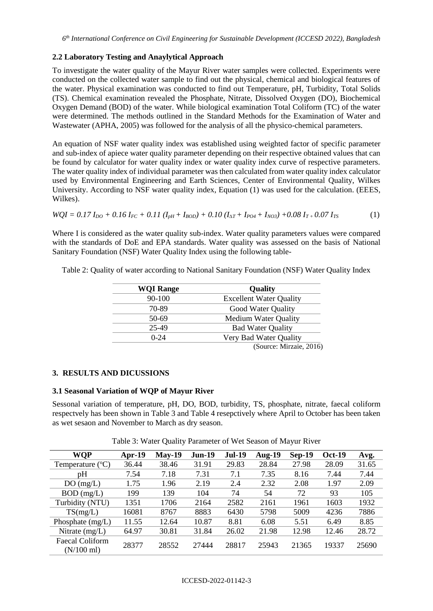### **2.2 Laboratory Testing and Anaylytical Approach**

To investigate the water quality of the Mayur River water samples were collected. Experiments were conducted on the collected water sample to find out the physical, chemical and biological features of the water. Physical examination was conducted to find out Temperature, pH, Turbidity, Total Solids (TS). Chemical examination revealed the Phosphate, Nitrate, Dissolved Oxygen (DO), Biochemical Oxygen Demand (BOD) of the water. While biological examination Total Coliform (TC) of the water were determined. The methods outlined in the Standard Methods for the Examination of Water and Wastewater (APHA, 2005) was followed for the analysis of all the physico-chemical parameters.

An equation of NSF water quality index was established using weighted factor of specific parameter and sub-index of apiece water quality parameter depending on their respective obtained values that can be found by calculator for water quality index or water quality index curve of respective parameters. The water quality index of individual parameter was then calculated from water quality index calculator used by Environmental Engineering and Earth Sciences, Center of Environmental Quality, Wilkes University. According to NSF water quality index, Equation (1) was used for the calculation. (EEES, Wilkes).

$$
WQI = 0.17 I_{DO} + 0.16 I_{FC} + 0.11 (I_{pH} + I_{BOD}) + 0.10 (I_{\Delta T} + I_{PO4} + I_{NO3}) + 0.08 I_{T} + 0.07 I_{TS}
$$
 (1)

Where I is considered as the water quality sub-index. Water quality parameters values were compared with the standards of DoE and EPA standards. Water quality was assessed on the basis of National Sanitary Foundation (NSF) Water Quality Index using the following table-

| <b>WQI Range</b> | <b>Quality</b>                 |
|------------------|--------------------------------|
| 90-100           | <b>Excellent Water Quality</b> |
| 70-89            | Good Water Quality             |
| 50-69            | <b>Medium Water Quality</b>    |
| 25-49            | <b>Bad Water Quality</b>       |
| $0 - 24$         | Very Bad Water Quality         |
|                  | (Source: Mirzaie, 2016)        |

Table 2: Quality of water according to National Sanitary Foundation (NSF) Water Quality Index

#### **3. RESULTS AND DICUSSIONS**

#### **3.1 Seasonal Variation of WQP of Mayur River**

Sessonal variation of temperature, pH, DO, BOD, turbidity, TS, phosphate, nitrate, faecal coliform respectvely has been shown in Table 3 and Table 4 resepctively where April to October has been taken as wet sesaon and November to March as dry season.

| WOP                                            | Apr-19 | $May-19$ | <b>Jun-19</b> | <b>Jul-19</b> | <b>Aug-19</b> | $Sep-19$ | <b>Oct-19</b> | Avg.  |
|------------------------------------------------|--------|----------|---------------|---------------|---------------|----------|---------------|-------|
| Temperature $({}^{\circ}C)$                    | 36.44  | 38.46    | 31.91         | 29.83         | 28.84         | 27.98    | 28.09         | 31.65 |
| pH                                             | 7.54   | 7.18     | 7.31          | 7.1           | 7.35          | 8.16     | 7.44          | 7.44  |
| DO(mg/L)                                       | 1.75   | 1.96     | 2.19          | 2.4           | 2.32          | 2.08     | 1.97          | 2.09  |
| $BOD$ (mg/L)                                   | 199    | 139      | 104           | 74            | 54            | 72       | 93            | 105   |
| Turbidity (NTU)                                | 1351   | 1706     | 2164          | 2582          | 2161          | 1961     | 1603          | 1932  |
| TS(mg/L)                                       | 16081  | 8767     | 8883          | 6430          | 5798          | 5009     | 4236          | 7886  |
| Phosphate $(mg/L)$                             | 11.55  | 12.64    | 10.87         | 8.81          | 6.08          | 5.51     | 6.49          | 8.85  |
| Nitrate $(mg/L)$                               | 64.97  | 30.81    | 31.84         | 26.02         | 21.98         | 12.98    | 12.46         | 28.72 |
| <b>Faecal Coliform</b><br>$(N/100 \text{ ml})$ | 28377  | 28552    | 27444         | 28817         | 25943         | 21365    | 19337         | 25690 |

Table 3: Water Quality Parameter of Wet Season of Mayur River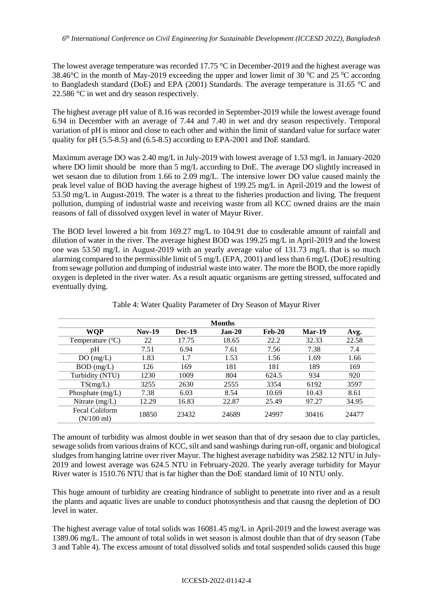The lowest average temperature was recorded 17.75  $\degree$ C in December-2019 and the highest average was 38.46 $^{\circ}$ C in the month of May-2019 exceeding the upper and lower limit of 30  $^{\circ}$ C and 25  $^{\circ}$ C accordng to Bangladesh standard (DoE) and EPA (2001) Standards. The average temperature is 31.65 °C and 22.586 °C in wet and dry season respectively.

The highest average pH value of 8.16 was recorded in September-2019 while the lowest average found 6.94 in December with an average of 7.44 and 7.40 in wet and dry season respectively. Temporal variation of pH is minor and close to each other and within the limit of standard value for surface water quality for pH (5.5-8.5) and (6.5-8.5) according to EPA-2001 and DoE standard.

Maximum average DO was 2.40 mg/L in July-2019 with lowest average of 1.53 mg/L in January-2020 where DO limit should be more than 5 mg/L according to DoE. The average DO slightly increased in wet sesaon due to dilution from 1.66 to 2.09 mg/L. The intensive lower DO value caused mainly the peak level value of BOD having the average highest of 199.25 mg/L in April-2019 and the lowest of 53.50 mg/L in August-2019. The water is a threat to the fisheries production and living. The frequent pollution, dumping of industrial waste and receiving waste from all KCC owned drains are the main reasons of fall of dissolved oxygen level in water of Mayur River.

The BOD level lowered a bit from 169.27 mg/L to 104.91 due to cosderable amount of rainfall and dilution of water in the river. The average highest BOD was 199.25 mg/L in April-2019 and the lowest one was 53.50 mg/L in August-2019 with an yearly average value of 131.73 mg/L that is so much alarming compared to the permissible limit of 5 mg/L (EPA, 2001) and less than 6 mg/L (DoE) resulting from sewage pollution and dumping of industrial waste into water. The more the BOD, the more rapidly oxygen is depleted in the river water. As a result aquatic organisms are getting stressed, suffocated and eventually dying.

|                                        |          |               | <b>Months</b> |          |               |       |
|----------------------------------------|----------|---------------|---------------|----------|---------------|-------|
| WQP                                    | $Nov-19$ | <b>Dec-19</b> | $Jan-20$      | $Feb-20$ | <b>Mar-19</b> | Avg.  |
| Temperature $(^{\circ}C)$              | 22       | 17.75         | 18.65         | 22.2     | 32.33         | 22.58 |
| pΗ                                     | 7.51     | 6.94          | 7.61          | 7.56     | 7.38          | 7.4   |
| DO(mg/L)                               | 1.83     | 1.7           | 1.53          | 1.56     | 1.69          | 1.66  |
| $BOD$ (mg/L)                           | 126      | 169           | 181           | 181      | 189           | 169   |
| Turbidity (NTU)                        | 1230     | 1009          | 804           | 624.5    | 934           | 920   |
| TS(mg/L)                               | 3255     | 2630          | 2555          | 3354     | 6192          | 3597  |
| Phosphate $(mg/L)$                     | 7.38     | 6.03          | 8.54          | 10.69    | 10.43         | 8.61  |
| Nitrate $(mg/L)$                       | 12.29    | 16.83         | 22.87         | 25.49    | 97.27         | 34.95 |
| Fecal Coliform<br>$(N/100 \text{ ml})$ | 18850    | 23432         | 24689         | 24997    | 30416         | 24477 |

Table 4: Water Quality Parameter of Dry Season of Mayur River

The amount of turbidity was almost double in wet season than that of dry sesaon due to clay particles, sewage solids from various drains of KCC, silt and sand washings during run-off, organic and biological sludges from hanging latrine over river Mayur. The highest average turbidity was 2582.12 NTU in July-2019 and lowest average was 624.5 NTU in February-2020. The yearly average turbidity for Mayur River water is 1510.76 NTU that is far higher than the DoE standard limit of 10 NTU only.

This huge amount of turbidity are creating hindrance of sublight to penetrate into river and as a result the plants and aquatic lives are unable to conduct photosynthesis and that causng the depletion of DO level in water.

The highest average value of total solids was 16081.45 mg/L in April-2019 and the lowest average was 1389.06 mg/L. The amount of total solids in wet season is almost double than that of dry season (Tabe 3 and Table 4). The excess amount of total dissolved solids and total suspended solids caused this huge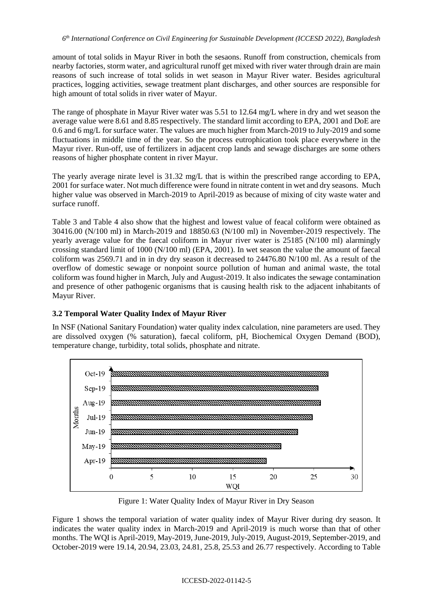amount of total solids in Mayur River in both the sesaons. Runoff from construction, chemicals from nearby factories, storm water, and agricultural runoff get mixed with river water through drain are main reasons of such increase of total solids in wet season in Mayur River water. Besides agricultural practices, logging activities, sewage treatment plant discharges, and other sources are responsible for high amount of total solids in river water of Mayur.

The range of phosphate in Mayur River water was 5.51 to 12.64 mg/L where in dry and wet season the average value were 8.61 and 8.85 respectively. The standard limit according to EPA, 2001 and DoE are 0.6 and 6 mg/L for surface water. The values are much higher from March-2019 to July-2019 and some fluctuations in middle time of the year. So the process eutrophication took place everywhere in the Mayur river. Run-off, use of fertilizers in adjacent crop lands and sewage discharges are some others reasons of higher phosphate content in river Mayur.

The yearly average nirate level is 31.32 mg/L that is within the prescribed range according to EPA, 2001 for surface water. Not much difference were found in nitrate content in wet and dry seasons. Much higher value was observed in March-2019 to April-2019 as because of mixing of city waste water and surface runoff.

Table 3 and Table 4 also show that the highest and lowest value of feacal coliform were obtained as 30416.00 (N/100 ml) in March-2019 and 18850.63 (N/100 ml) in November-2019 respectively. The yearly average value for the faecal coliform in Mayur river water is 25185 (N/100 ml) alarmingly crossing standard limit of 1000 (N/100 ml) (EPA, 2001). In wet season the value the amount of faecal coliform was 2569.71 and in in dry dry season it decreased to 24476.80 N/100 ml. As a result of the overflow of domestic sewage or nonpoint source pollution of human and animal waste, the total coliform was found higher in March, July and August-2019. It also indicates the sewage contamination and presence of other pathogenic organisms that is causing health risk to the adjacent inhabitants of Mayur River.

## **3.2 Temporal Water Quality Index of Mayur River**

In NSF (National Sanitary Foundation) water quality index calculation, nine parameters are used. They are dissolved oxygen (% saturation), faecal coliform, pH, Biochemical Oxygen Demand (BOD), temperature change, turbidity, total solids, phosphate and nitrate.



Figure 1: Water Quality Index of Mayur River in Dry Season

Figure 1 shows the temporal variation of water quality index of Mayur River during dry season. It indicates the water quality index in March-2019 and April-2019 is much worse than that of other months. The WQI is April-2019, May-2019, June-2019, July-2019, August-2019, September-2019, and October-2019 were 19.14, 20.94, 23.03, 24.81, 25.8, 25.53 and 26.77 respectively. According to Table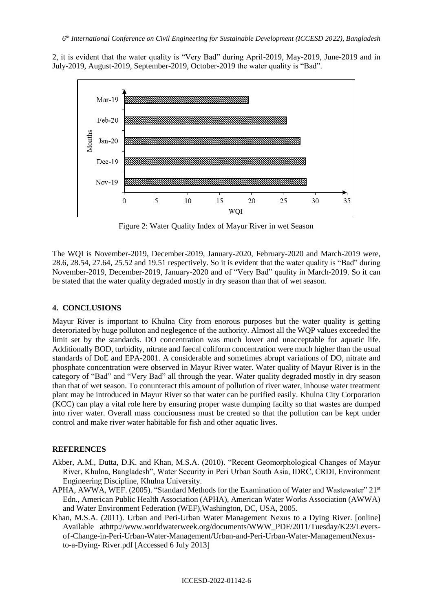2, it is evident that the water quality is "Very Bad" during April-2019, May-2019, June-2019 and in July-2019, August-2019, September-2019, October-2019 the water quality is "Bad".



Figure 2: Water Quality Index of Mayur River in wet Season

The WQI is November-2019, December-2019, January-2020, February-2020 and March-2019 were, 28.6, 28.54, 27.64, 25.52 and 19.51 respectively. So it is evident that the water quality is "Bad" during November-2019, December-2019, January-2020 and of "Very Bad" qaulity in March-2019. So it can be stated that the water quality degraded mostly in dry season than that of wet season.

#### **4. CONCLUSIONS**

Mayur River is important to Khulna City from enorous purposes but the water quality is getting deteroriated by huge polluton and neglegence of the authority. Almost all the WQP values exceeded the limit set by the standards. DO concentration was much lower and unacceptable for aquatic life. Additionally BOD, turbidity, nitrate and faecal coliform concentration were much higher than the usual standards of DoE and EPA-2001. A considerable and sometimes abrupt variations of DO, nitrate and phosphate concentration were observed in Mayur River water. Water quality of Mayur River is in the category of "Bad" and "Very Bad" all through the year. Water quality degraded mostly in dry season than that of wet season. To conunteract this amount of pollution of river water, inhouse water treatment plant may be introduced in Mayur River so that water can be purified easily. Khulna City Corporation (KCC) can play a vital role here by ensuring proper waste dumping facilty so that wastes are dumped into river water. Overall mass conciousness must be created so that the pollution can be kept under control and make river water habitable for fish and other aquatic lives.

## **REFERENCES**

- Akber, A.M., Dutta, D.K. and Khan, M.S.A. (2010). "Recent Geomorphological Changes of Mayur River, Khulna, Bangladesh", Water Security in Peri Urban South Asia, IDRC, CRDI, Environment Engineering Discipline, Khulna University.
- APHA, AWWA, WEF. (2005). "Standard Methods for the Examination of Water and Wastewater" 21<sup>st</sup> Edn., American Public Health Association (APHA), American Water Works Association (AWWA) and Water Environment Federation (WEF),Washington, DC, USA, 2005.
- Khan, M.S.A. (2011). Urban and Peri-Urban Water Management Nexus to a Dying River. [online] Available athttp://www.worldwaterweek.org/documents/WWW\_PDF/2011/Tuesday/K23/Leversof-Change-in-Peri-Urban-Water-Management/Urban-and-Peri-Urban-Water-ManagementNexusto-a-Dying- River.pdf [Accessed 6 July 2013]